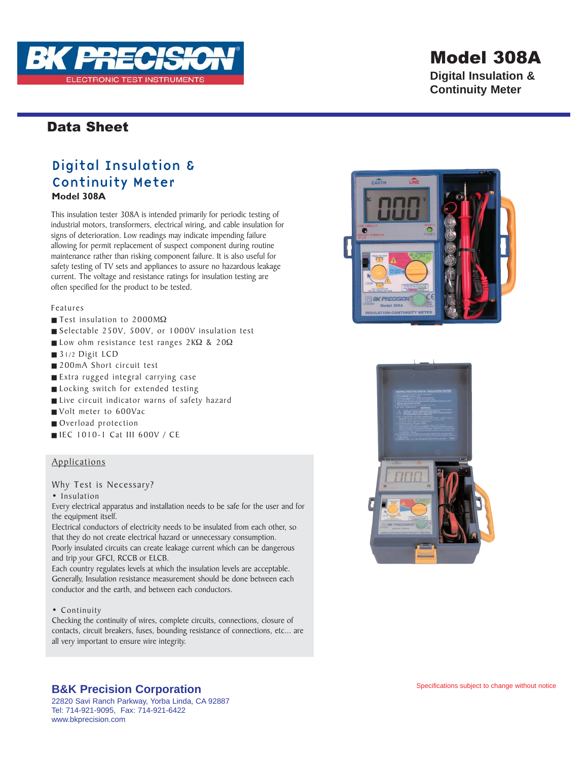

## Model 308A

**Digital Insulation & Continuity Meter**

### Data Sheet

### Digital Insulation & Continuity Meter

**Model 308A**

This insulation tester 308A is intended primarily for periodic testing of industrial motors, transformers, electrical wiring, and cable insulation for signs of deterioration. Low readings may indicate impending failure allowing for permit replacement of suspect component during routine maintenance rather than risking component failure. It is also useful for safety testing of TV sets and appliances to assure no hazardous leakage current. The voltage and resistance ratings for insulation testing are often specified for the product to be tested.

Features

- Test insulation to 2000MΩ
- Selectable 250V, 500V, or 1000V insulation test
- Low ohm resistance test ranges 2KΩ & 20Ω
- 31/2 Digit LCD
- 200mA Short circuit test
- Extra rugged integral carrying case
- Locking switch for extended testing
- Live circuit indicator warns of safety hazard
- Volt meter to 600Vac
- Overload protection
- IEC 1010-1 Cat III 600V / CE

#### Applications

Why Test is Necessary?

• Insulation

Every electrical apparatus and installation needs to be safe for the user and for the equipment itself.

Electrical conductors of electricity needs to be insulated from each other, so that they do not create electrical hazard or unnecessary consumption. Poorly insulated circuits can create leakage current which can be dangerous and trip your GFCI, RCCB or ELCB.

Each country regulates levels at which the insulation levels are acceptable. Generally, Insulation resistance measurement should be done between each conductor and the earth, and between each conductors.

#### • Continuity

Checking the continuity of wires, complete circuits, connections, closure of contacts, circuit breakers, fuses, bounding resistance of connections, etc... are all very important to ensure wire integrity.





### **B&K Precision Corporation**

22820 Savi Ranch Parkway, Yorba Linda, CA 92887 Tel: 714-921-9095, Fax: 714-921-6422 www.bkprecision.com